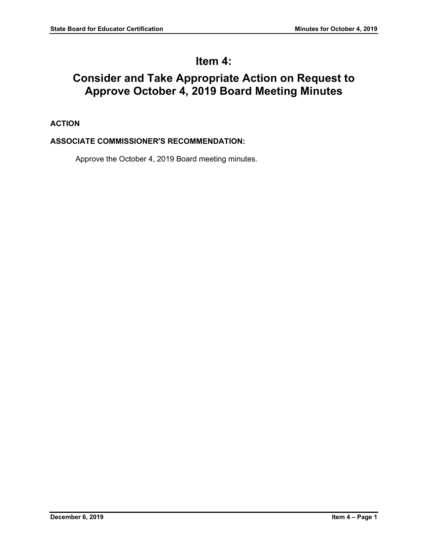# **Item 4:**

# **Consider and Take Appropriate Action on Request to Approve October 4, 2019 Board Meeting Minutes**

# **ACTION**

# **ASSOCIATE COMMISSIONER'S RECOMMENDATION:**

Approve the October 4, 2019 Board meeting minutes.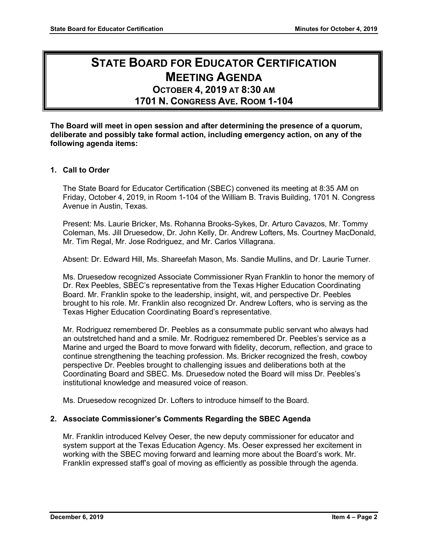# **STATE BOARD FOR EDUCATOR CERTIFICATION MEETING AGENDA OCTOBER 4, 2019 AT 8:30 AM**

# **1701 N. CONGRESS AVE. ROOM 1-104**

**The Board will meet in open session and after determining the presence of a quorum, deliberate and possibly take formal action, including emergency action, on any of the following agenda items:**

#### **1. Call to Order**

The State Board for Educator Certification (SBEC) convened its meeting at 8:35 AM on Friday, October 4, 2019, in Room 1-104 of the William B. Travis Building, 1701 N. Congress Avenue in Austin, Texas.

Present: Ms. Laurie Bricker, Ms. Rohanna Brooks-Sykes, Dr. Arturo Cavazos, Mr. Tommy Coleman, Ms. Jill Druesedow, Dr. John Kelly, Dr. Andrew Lofters, Ms. Courtney MacDonald, Mr. Tim Regal, Mr. Jose Rodriguez, and Mr. Carlos Villagrana.

Absent: Dr. Edward Hill, Ms. Shareefah Mason, Ms. Sandie Mullins, and Dr. Laurie Turner.

Ms. Druesedow recognized Associate Commissioner Ryan Franklin to honor the memory of Dr. Rex Peebles, SBEC's representative from the Texas Higher Education Coordinating Board. Mr. Franklin spoke to the leadership, insight, wit, and perspective Dr. Peebles brought to his role. Mr. Franklin also recognized Dr. Andrew Lofters, who is serving as the Texas Higher Education Coordinating Board's representative.

Mr. Rodriguez remembered Dr. Peebles as a consummate public servant who always had an outstretched hand and a smile. Mr. Rodriguez remembered Dr. Peebles's service as a Marine and urged the Board to move forward with fidelity, decorum, reflection, and grace to continue strengthening the teaching profession. Ms. Bricker recognized the fresh, cowboy perspective Dr. Peebles brought to challenging issues and deliberations both at the Coordinating Board and SBEC. Ms. Druesedow noted the Board will miss Dr. Peebles's institutional knowledge and measured voice of reason.

Ms. Druesedow recognized Dr. Lofters to introduce himself to the Board.

#### **2. Associate Commissioner's Comments Regarding the SBEC Agenda**

Mr. Franklin introduced Kelvey Oeser, the new deputy commissioner for educator and system support at the Texas Education Agency. Ms. Oeser expressed her excitement in working with the SBEC moving forward and learning more about the Board's work. Mr. Franklin expressed staff's goal of moving as efficiently as possible through the agenda.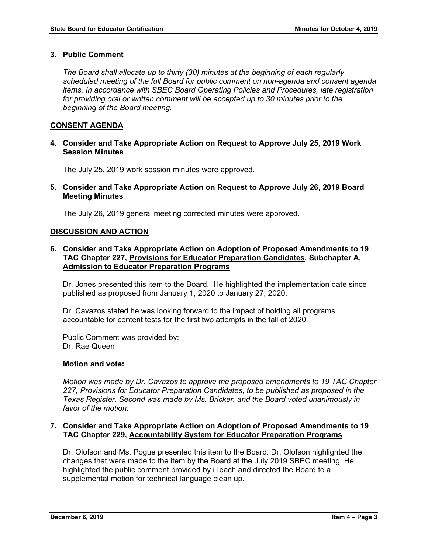#### **3. Public Comment**

*The Board shall allocate up to thirty (30) minutes at the beginning of each regularly scheduled meeting of the full Board for public comment on non-agenda and consent agenda items. In accordance with SBEC Board Operating Policies and Procedures, late registration for providing oral or written comment will be accepted up to 30 minutes prior to the beginning of the Board meeting.*

#### **CONSENT AGENDA**

**4. Consider and Take Appropriate Action on Request to Approve July 25, 2019 Work Session Minutes**

The July 25, 2019 work session minutes were approved.

**5. Consider and Take Appropriate Action on Request to Approve July 26, 2019 Board Meeting Minutes**

The July 26, 2019 general meeting corrected minutes were approved.

#### **DISCUSSION AND ACTION**

**6. Consider and Take Appropriate Action on Adoption of Proposed Amendments to 19 TAC Chapter 227, Provisions for Educator Preparation Candidates, Subchapter A, Admission to Educator Preparation Programs**

Dr. Jones presented this item to the Board. He highlighted the implementation date since published as proposed from January 1, 2020 to January 27, 2020.

Dr. Cavazos stated he was looking forward to the impact of holding all programs accountable for content tests for the first two attempts in the fall of 2020.

Public Comment was provided by: Dr. Rae Queen

#### **Motion and vote:**

*Motion was made by Dr. Cavazos to approve the proposed amendments to 19 TAC Chapter 227, Provisions for Educator Preparation Candidates, to be published as proposed in the Texas Register. Second was made by Ms. Bricker, and the Board voted unanimously in favor of the motion.*

#### **7. Consider and Take Appropriate Action on Adoption of Proposed Amendments to 19 TAC Chapter 229, Accountability System for Educator Preparation Programs**

Dr. Olofson and Ms. Pogue presented this item to the Board. Dr. Olofson highlighted the changes that were made to the item by the Board at the July 2019 SBEC meeting. He highlighted the public comment provided by iTeach and directed the Board to a supplemental motion for technical language clean up.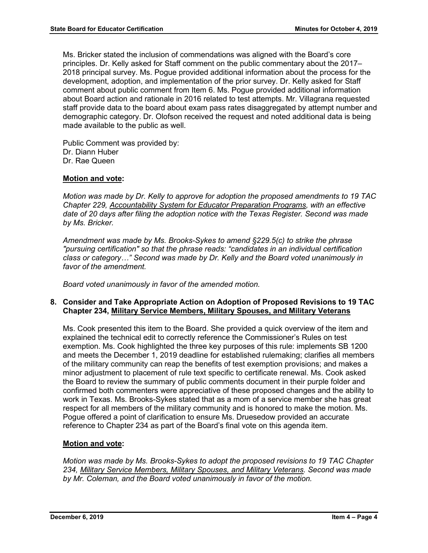Ms. Bricker stated the inclusion of commendations was aligned with the Board's core principles. Dr. Kelly asked for Staff comment on the public commentary about the 2017– 2018 principal survey. Ms. Pogue provided additional information about the process for the development, adoption, and implementation of the prior survey. Dr. Kelly asked for Staff comment about public comment from Item 6. Ms. Pogue provided additional information about Board action and rationale in 2016 related to test attempts. Mr. Villagrana requested staff provide data to the board about exam pass rates disaggregated by attempt number and demographic category. Dr. Olofson received the request and noted additional data is being made available to the public as well.

Public Comment was provided by: Dr. Diann Huber Dr. Rae Queen

# **Motion and vote:**

*Motion was made by Dr. Kelly to approve for adoption the proposed amendments to 19 TAC Chapter 229, Accountability System for Educator Preparation Programs, with an effective date of 20 days after filing the adoption notice with the Texas Register. Second was made by Ms. Bricker.*

*Amendment was made by Ms. Brooks-Sykes to amend §229.5(c) to strike the phrase "pursuing certification" so that the phrase reads: "candidates in an individual certification class or category…" Second was made by Dr. Kelly and the Board voted unanimously in favor of the amendment.*

*Board voted unanimously in favor of the amended motion.*

# **8. Consider and Take Appropriate Action on Adoption of Proposed Revisions to 19 TAC Chapter 234, Military Service Members, Military Spouses, and Military Veterans**

Ms. Cook presented this item to the Board. She provided a quick overview of the item and explained the technical edit to correctly reference the Commissioner's Rules on test exemption. Ms. Cook highlighted the three key purposes of this rule: implements SB 1200 and meets the December 1, 2019 deadline for established rulemaking; clarifies all members of the military community can reap the benefits of test exemption provisions; and makes a minor adjustment to placement of rule text specific to certificate renewal. Ms. Cook asked the Board to review the summary of public comments document in their purple folder and confirmed both commenters were appreciative of these proposed changes and the ability to work in Texas. Ms. Brooks-Sykes stated that as a mom of a service member she has great respect for all members of the military community and is honored to make the motion. Ms. Pogue offered a point of clarification to ensure Ms. Druesedow provided an accurate reference to Chapter 234 as part of the Board's final vote on this agenda item.

# **Motion and vote:**

*Motion was made by Ms. Brooks-Sykes to adopt the proposed revisions to 19 TAC Chapter 234, Military Service Members, Military Spouses, and Military Veterans. Second was made by Mr. Coleman, and the Board voted unanimously in favor of the motion.*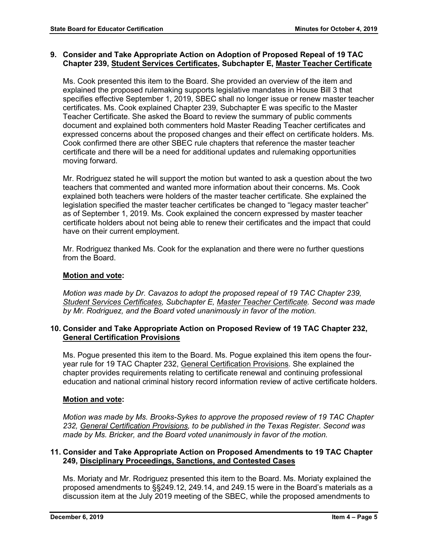### **9. Consider and Take Appropriate Action on Adoption of Proposed Repeal of 19 TAC Chapter 239, Student Services Certificates, Subchapter E, Master Teacher Certificate**

Ms. Cook presented this item to the Board. She provided an overview of the item and explained the proposed rulemaking supports legislative mandates in House Bill 3 that specifies effective September 1, 2019, SBEC shall no longer issue or renew master teacher certificates. Ms. Cook explained Chapter 239, Subchapter E was specific to the Master Teacher Certificate. She asked the Board to review the summary of public comments document and explained both commenters hold Master Reading Teacher certificates and expressed concerns about the proposed changes and their effect on certificate holders. Ms. Cook confirmed there are other SBEC rule chapters that reference the master teacher certificate and there will be a need for additional updates and rulemaking opportunities moving forward.

Mr. Rodriguez stated he will support the motion but wanted to ask a question about the two teachers that commented and wanted more information about their concerns. Ms. Cook explained both teachers were holders of the master teacher certificate. She explained the legislation specified the master teacher certificates be changed to "legacy master teacher" as of September 1, 2019. Ms. Cook explained the concern expressed by master teacher certificate holders about not being able to renew their certificates and the impact that could have on their current employment.

Mr. Rodriguez thanked Ms. Cook for the explanation and there were no further questions from the Board.

# **Motion and vote:**

*Motion was made by Dr. Cavazos to adopt the proposed repeal of 19 TAC Chapter 239, Student Services Certificates, Subchapter E, Master Teacher Certificate. Second was made by Mr. Rodriguez, and the Board voted unanimously in favor of the motion.*

#### **10. Consider and Take Appropriate Action on Proposed Review of 19 TAC Chapter 232, General Certification Provisions**

Ms. Pogue presented this item to the Board. Ms. Pogue explained this item opens the fouryear rule for 19 TAC Chapter 232, General Certification Provisions. She explained the chapter provides requirements relating to certificate renewal and continuing professional education and national criminal history record information review of active certificate holders.

# **Motion and vote:**

*Motion was made by Ms. Brooks-Sykes to approve the proposed review of 19 TAC Chapter 232, General Certification Provisions, to be published in the Texas Register. Second was made by Ms. Bricker, and the Board voted unanimously in favor of the motion.*

#### **11. Consider and Take Appropriate Action on Proposed Amendments to 19 TAC Chapter 249, Disciplinary Proceedings, Sanctions, and Contested Cases**

Ms. Moriaty and Mr. Rodriguez presented this item to the Board. Ms. Moriaty explained the proposed amendments to §§249.12, 249.14, and 249.15 were in the Board's materials as a discussion item at the July 2019 meeting of the SBEC, while the proposed amendments to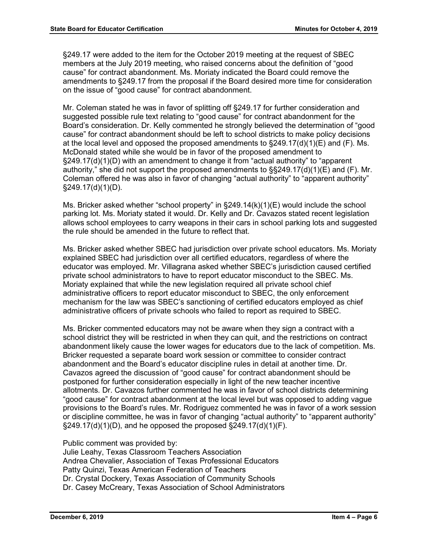§249.17 were added to the item for the October 2019 meeting at the request of SBEC members at the July 2019 meeting, who raised concerns about the definition of "good cause" for contract abandonment. Ms. Moriaty indicated the Board could remove the amendments to §249.17 from the proposal if the Board desired more time for consideration on the issue of "good cause" for contract abandonment.

Mr. Coleman stated he was in favor of splitting off §249.17 for further consideration and suggested possible rule text relating to "good cause" for contract abandonment for the Board's consideration. Dr. Kelly commented he strongly believed the determination of "good cause" for contract abandonment should be left to school districts to make policy decisions at the local level and opposed the proposed amendments to  $\S249.17(d)(1)(E)$  and (F). Ms. McDonald stated while she would be in favor of the proposed amendment to §249.17(d)(1)(D) with an amendment to change it from "actual authority" to "apparent authority," she did not support the proposed amendments to  $\S$ §249.17(d)(1)(E) and (F). Mr. Coleman offered he was also in favor of changing "actual authority" to "apparent authority"  $§249.17(d)(1)(D)$ .

Ms. Bricker asked whether "school property" in §249.14(k)(1)(E) would include the school parking lot. Ms. Moriaty stated it would. Dr. Kelly and Dr. Cavazos stated recent legislation allows school employees to carry weapons in their cars in school parking lots and suggested the rule should be amended in the future to reflect that.

Ms. Bricker asked whether SBEC had jurisdiction over private school educators. Ms. Moriaty explained SBEC had jurisdiction over all certified educators, regardless of where the educator was employed. Mr. Villagrana asked whether SBEC's jurisdiction caused certified private school administrators to have to report educator misconduct to the SBEC. Ms. Moriaty explained that while the new legislation required all private school chief administrative officers to report educator misconduct to SBEC, the only enforcement mechanism for the law was SBEC's sanctioning of certified educators employed as chief administrative officers of private schools who failed to report as required to SBEC.

Ms. Bricker commented educators may not be aware when they sign a contract with a school district they will be restricted in when they can quit, and the restrictions on contract abandonment likely cause the lower wages for educators due to the lack of competition. Ms. Bricker requested a separate board work session or committee to consider contract abandonment and the Board's educator discipline rules in detail at another time. Dr. Cavazos agreed the discussion of "good cause" for contract abandonment should be postponed for further consideration especially in light of the new teacher incentive allotments. Dr. Cavazos further commented he was in favor of school districts determining "good cause" for contract abandonment at the local level but was opposed to adding vague provisions to the Board's rules. Mr. Rodriguez commented he was in favor of a work session or discipline committee, he was in favor of changing "actual authority" to "apparent authority"  $\S249.17(d)(1)(D)$ , and he opposed the proposed  $\S249.17(d)(1)(F)$ .

Public comment was provided by:

Julie Leahy, Texas Classroom Teachers Association Andrea Chevalier, Association of Texas Professional Educators Patty Quinzi, Texas American Federation of Teachers Dr. Crystal Dockery, Texas Association of Community Schools Dr. Casey McCreary, Texas Association of School Administrators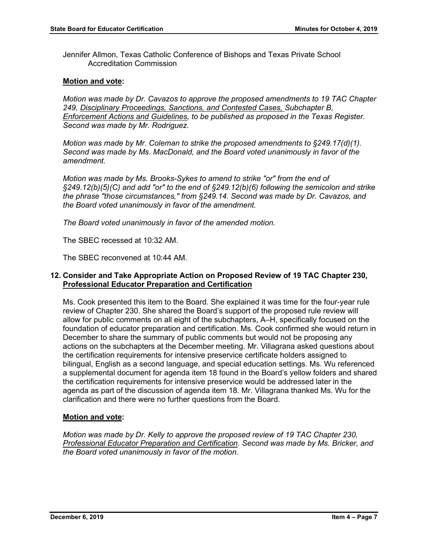Jennifer Allmon, Texas Catholic Conference of Bishops and Texas Private School Accreditation Commission

#### **Motion and vote:**

*Motion was made by Dr. Cavazos to approve the proposed amendments to 19 TAC Chapter 249, Disciplinary Proceedings, Sanctions, and Contested Cases, Subchapter B, Enforcement Actions and Guidelines, to be published as proposed in the Texas Register. Second was made by Mr. Rodriguez.*

*Motion was made by Mr. Coleman to strike the proposed amendments to §249.17(d)(1). Second was made by Ms. MacDonald, and the Board voted unanimously in favor of the amendment.* 

*Motion was made by Ms. Brooks-Sykes to amend to strike "or" from the end of §249.12(b)(5)(C) and add "or" to the end of §249.12(b)(6) following the semicolon and strike the phrase "those circumstances," from §249.14. Second was made by Dr. Cavazos, and the Board voted unanimously in favor of the amendment.* 

*The Board voted unanimously in favor of the amended motion.*

The SBEC recessed at 10:32 AM.

The SBEC reconvened at 10:44 AM.

#### **12. Consider and Take Appropriate Action on Proposed Review of 19 TAC Chapter 230, Professional Educator Preparation and Certification**

Ms. Cook presented this item to the Board. She explained it was time for the four-year rule review of Chapter 230. She shared the Board's support of the proposed rule review will allow for public comments on all eight of the subchapters, A–H, specifically focused on the foundation of educator preparation and certification. Ms. Cook confirmed she would return in December to share the summary of public comments but would not be proposing any actions on the subchapters at the December meeting. Mr. Villagrana asked questions about the certification requirements for intensive preservice certificate holders assigned to bilingual, English as a second language, and special education settings. Ms. Wu referenced a supplemental document for agenda item 18 found in the Board's yellow folders and shared the certification requirements for intensive preservice would be addressed later in the agenda as part of the discussion of agenda item 18. Mr. Villagrana thanked Ms. Wu for the clarification and there were no further questions from the Board.

#### **Motion and vote:**

*Motion was made by Dr. Kelly to approve the proposed review of 19 TAC Chapter 230, Professional Educator Preparation and Certification. Second was made by Ms. Bricker, and the Board voted unanimously in favor of the motion.*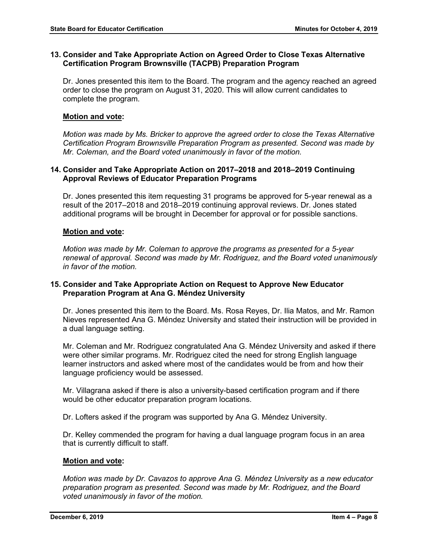#### **13. Consider and Take Appropriate Action on Agreed Order to Close Texas Alternative Certification Program Brownsville (TACPB) Preparation Program**

Dr. Jones presented this item to the Board. The program and the agency reached an agreed order to close the program on August 31, 2020. This will allow current candidates to complete the program.

#### **Motion and vote:**

*Motion was made by Ms. Bricker to approve the agreed order to close the Texas Alternative Certification Program Brownsville Preparation Program as presented. Second was made by Mr. Coleman, and the Board voted unanimously in favor of the motion.*

#### **14. Consider and Take Appropriate Action on 2017–2018 and 2018–2019 Continuing Approval Reviews of Educator Preparation Programs**

Dr. Jones presented this item requesting 31 programs be approved for 5-year renewal as a result of the 2017–2018 and 2018–2019 continuing approval reviews. Dr. Jones stated additional programs will be brought in December for approval or for possible sanctions.

#### **Motion and vote:**

*Motion was made by Mr. Coleman to approve the programs as presented for a 5-year renewal of approval. Second was made by Mr. Rodriguez, and the Board voted unanimously in favor of the motion.*

#### **15. Consider and Take Appropriate Action on Request to Approve New Educator Preparation Program at Ana G. Méndez University**

Dr. Jones presented this item to the Board. Ms. Rosa Reyes, Dr. Ilia Matos, and Mr. Ramon Nieves represented Ana G. Méndez University and stated their instruction will be provided in a dual language setting.

Mr. Coleman and Mr. Rodriguez congratulated Ana G. Méndez University and asked if there were other similar programs. Mr. Rodriguez cited the need for strong English language learner instructors and asked where most of the candidates would be from and how their language proficiency would be assessed.

Mr. Villagrana asked if there is also a university-based certification program and if there would be other educator preparation program locations.

Dr. Lofters asked if the program was supported by Ana G. Méndez University.

Dr. Kelley commended the program for having a dual language program focus in an area that is currently difficult to staff.

#### **Motion and vote:**

*Motion was made by Dr. Cavazos to approve Ana G. Méndez University as a new educator preparation program as presented. Second was made by Mr. Rodriguez, and the Board voted unanimously in favor of the motion.*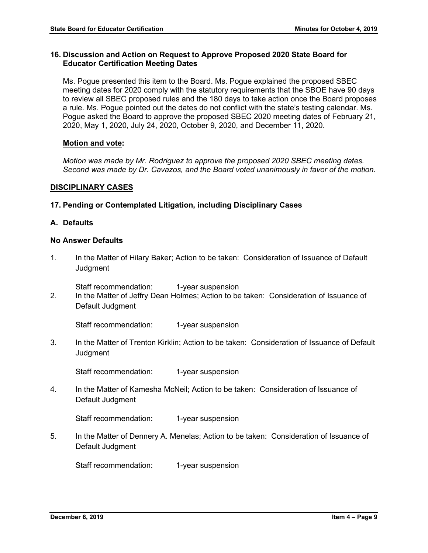#### **16. Discussion and Action on Request to Approve Proposed 2020 State Board for Educator Certification Meeting Dates**

Ms. Pogue presented this item to the Board. Ms. Pogue explained the proposed SBEC meeting dates for 2020 comply with the statutory requirements that the SBOE have 90 days to review all SBEC proposed rules and the 180 days to take action once the Board proposes a rule. Ms. Pogue pointed out the dates do not conflict with the state's testing calendar. Ms. Pogue asked the Board to approve the proposed SBEC 2020 meeting dates of February 21, 2020, May 1, 2020, July 24, 2020, October 9, 2020, and December 11, 2020.

#### **Motion and vote:**

*Motion was made by Mr. Rodriguez to approve the proposed 2020 SBEC meeting dates. Second was made by Dr. Cavazos, and the Board voted unanimously in favor of the motion.*

#### **DISCIPLINARY CASES**

#### **17. Pending or Contemplated Litigation, including Disciplinary Cases**

#### **A. Defaults**

#### **No Answer Defaults**

1. In the Matter of Hilary Baker; Action to be taken: Consideration of Issuance of Default **Judgment** 

Staff recommendation: 1-year suspension

2. In the Matter of Jeffry Dean Holmes; Action to be taken: Consideration of Issuance of Default Judgment

Staff recommendation: 1-year suspension

3. In the Matter of Trenton Kirklin; Action to be taken: Consideration of Issuance of Default **Judgment** 

Staff recommendation: 1-year suspension

4. In the Matter of Kamesha McNeil; Action to be taken: Consideration of Issuance of Default Judgment

Staff recommendation: 1-year suspension

5. In the Matter of Dennery A. Menelas; Action to be taken: Consideration of Issuance of Default Judgment

Staff recommendation: 1-year suspension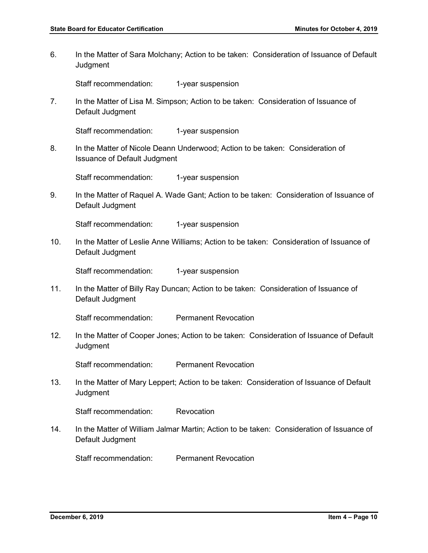6. In the Matter of Sara Molchany; Action to be taken: Consideration of Issuance of Default **Judgment** 

Staff recommendation: 1-year suspension

7. In the Matter of Lisa M. Simpson; Action to be taken: Consideration of Issuance of Default Judgment

Staff recommendation: 1-year suspension

8. In the Matter of Nicole Deann Underwood; Action to be taken: Consideration of Issuance of Default Judgment

Staff recommendation: 1-year suspension

9. In the Matter of Raquel A. Wade Gant; Action to be taken: Consideration of Issuance of Default Judgment

Staff recommendation: 1-year suspension

10. In the Matter of Leslie Anne Williams; Action to be taken: Consideration of Issuance of Default Judgment

Staff recommendation: 1-year suspension

11. In the Matter of Billy Ray Duncan; Action to be taken: Consideration of Issuance of Default Judgment

Staff recommendation: Permanent Revocation

12. In the Matter of Cooper Jones; Action to be taken: Consideration of Issuance of Default **Judgment** 

Staff recommendation: Permanent Revocation

13. In the Matter of Mary Leppert; Action to be taken: Consideration of Issuance of Default **Judgment** 

Staff recommendation: Revocation

14. In the Matter of William Jalmar Martin; Action to be taken: Consideration of Issuance of Default Judgment

Staff recommendation: Permanent Revocation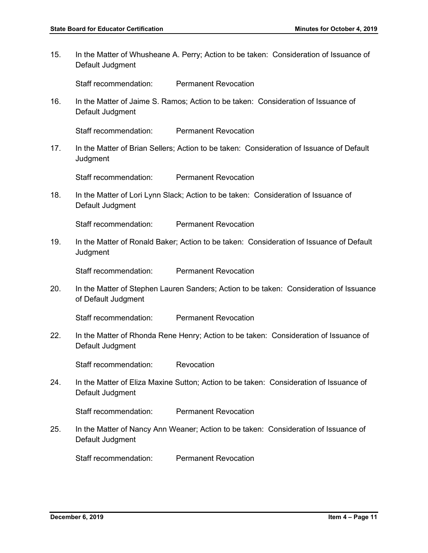15. In the Matter of Whusheane A. Perry; Action to be taken: Consideration of Issuance of Default Judgment

Staff recommendation: Permanent Revocation

16. In the Matter of Jaime S. Ramos; Action to be taken: Consideration of Issuance of Default Judgment

Staff recommendation: Permanent Revocation

17. In the Matter of Brian Sellers; Action to be taken: Consideration of Issuance of Default **Judgment** 

Staff recommendation: Permanent Revocation

18. In the Matter of Lori Lynn Slack; Action to be taken: Consideration of Issuance of Default Judgment

Staff recommendation: Permanent Revocation

19. In the Matter of Ronald Baker; Action to be taken: Consideration of Issuance of Default Judgment

Staff recommendation: Permanent Revocation

20. In the Matter of Stephen Lauren Sanders; Action to be taken: Consideration of Issuance of Default Judgment

Staff recommendation: Permanent Revocation

22. In the Matter of Rhonda Rene Henry; Action to be taken: Consideration of Issuance of Default Judgment

Staff recommendation: Revocation

24. In the Matter of Eliza Maxine Sutton; Action to be taken: Consideration of Issuance of Default Judgment

Staff recommendation: Permanent Revocation

25. In the Matter of Nancy Ann Weaner; Action to be taken: Consideration of Issuance of Default Judgment

Staff recommendation: Permanent Revocation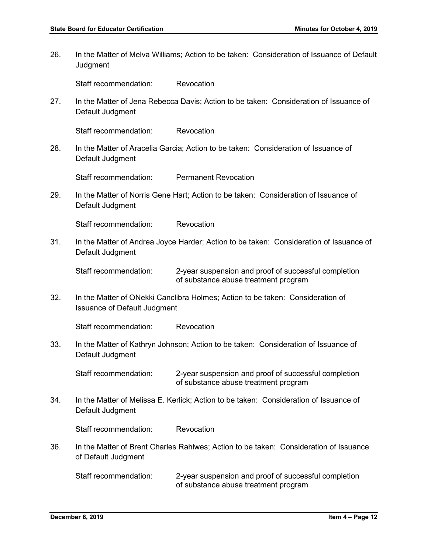- 26. In the Matter of Melva Williams; Action to be taken: Consideration of Issuance of Default **Judgment** Staff recommendation: Revocation 27. In the Matter of Jena Rebecca Davis; Action to be taken: Consideration of Issuance of Default Judgment Staff recommendation: Revocation 28. In the Matter of Aracelia Garcia; Action to be taken: Consideration of Issuance of Default Judgment Staff recommendation: Permanent Revocation 29. In the Matter of Norris Gene Hart; Action to be taken: Consideration of Issuance of Default Judgment Staff recommendation: Revocation 31. In the Matter of Andrea Joyce Harder; Action to be taken: Consideration of Issuance of Default Judgment Staff recommendation: 2-year suspension and proof of successful completion of substance abuse treatment program 32. In the Matter of ONekki Canclibra Holmes; Action to be taken: Consideration of Issuance of Default Judgment Staff recommendation: Revocation 33. In the Matter of Kathryn Johnson; Action to be taken: Consideration of Issuance of Default Judgment Staff recommendation: 2-year suspension and proof of successful completion of substance abuse treatment program 34. In the Matter of Melissa E. Kerlick; Action to be taken: Consideration of Issuance of Default Judgment Staff recommendation: Revocation
- 36. In the Matter of Brent Charles Rahlwes; Action to be taken: Consideration of Issuance of Default Judgment

Staff recommendation: 2-year suspension and proof of successful completion of substance abuse treatment program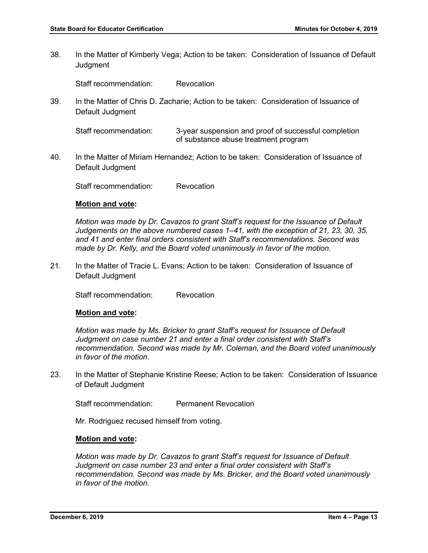38. In the Matter of Kimberly Vega; Action to be taken: Consideration of Issuance of Default **Judgment** 

Staff recommendation: Revocation

39. In the Matter of Chris D. Zacharie; Action to be taken: Consideration of Issuance of Default Judgment

Staff recommendation: 3-year suspension and proof of successful completion of substance abuse treatment program

40. In the Matter of Miriam Hernandez; Action to be taken: Consideration of Issuance of Default Judgment

Staff recommendation: Revocation

#### **Motion and vote:**

*Motion was made by Dr. Cavazos to grant Staff's request for the Issuance of Default Judgements on the above numbered cases 1–41, with the exception of 21, 23, 30, 35, and 41 and enter final orders consistent with Staff's recommendations. Second was made by Dr. Kelly, and the Board voted unanimously in favor of the motion.*

21. In the Matter of Tracie L. Evans; Action to be taken: Consideration of Issuance of Default Judgment

Staff recommendation: Revocation

#### **Motion and vote:**

*Motion was made by Ms. Bricker to grant Staff's request for Issuance of Default Judgment on case number 21 and enter a final order consistent with Staff's recommendation. Second was made by Mr. Coleman, and the Board voted unanimously in favor of the motion.*

23. In the Matter of Stephanie Kristine Reese; Action to be taken: Consideration of Issuance of Default Judgment

Staff recommendation: Permanent Revocation

Mr. Rodriguez recused himself from voting.

#### **Motion and vote:**

*Motion was made by Dr. Cavazos to grant Staff's request for Issuance of Default Judgment on case number 23 and enter a final order consistent with Staff's recommendation. Second was made by Ms. Bricker, and the Board voted unanimously in favor of the motion.*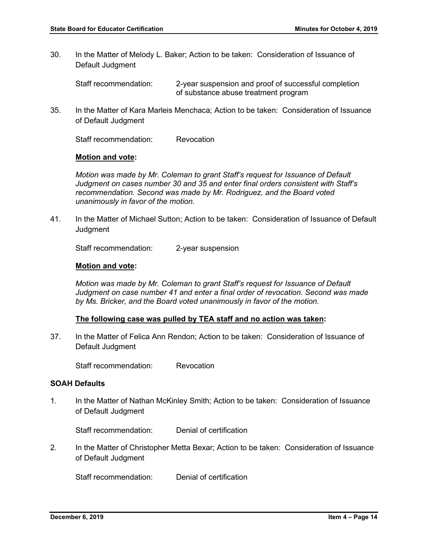30. In the Matter of Melody L. Baker; Action to be taken: Consideration of Issuance of Default Judgment

Staff recommendation: 2-year suspension and proof of successful completion of substance abuse treatment program

35. In the Matter of Kara Marleis Menchaca; Action to be taken: Consideration of Issuance of Default Judgment

Staff recommendation: Revocation

#### **Motion and vote:**

*Motion was made by Mr. Coleman to grant Staff's request for Issuance of Default Judgment on cases number 30 and 35 and enter final orders consistent with Staff's recommendation. Second was made by Mr. Rodriguez, and the Board voted unanimously in favor of the motion.*

41. In the Matter of Michael Sutton; Action to be taken: Consideration of Issuance of Default **Judgment** 

Staff recommendation: 2-year suspension

#### **Motion and vote:**

*Motion was made by Mr. Coleman to grant Staff's request for Issuance of Default Judgment on case number 41 and enter a final order of revocation. Second was made by Ms. Bricker, and the Board voted unanimously in favor of the motion.*

#### **The following case was pulled by TEA staff and no action was taken:**

37. In the Matter of Felica Ann Rendon; Action to be taken: Consideration of Issuance of Default Judgment

Staff recommendation: Revocation

#### **SOAH Defaults**

1. In the Matter of Nathan McKinley Smith; Action to be taken: Consideration of Issuance of Default Judgment

Staff recommendation: Denial of certification

2. In the Matter of Christopher Metta Bexar; Action to be taken: Consideration of Issuance of Default Judgment

Staff recommendation: Denial of certification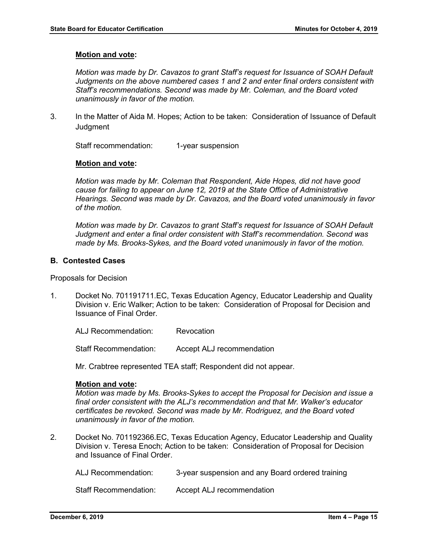#### **Motion and vote:**

*Motion was made by Dr. Cavazos to grant Staff's request for Issuance of SOAH Default Judgments on the above numbered cases 1 and 2 and enter final orders consistent with Staff's recommendations. Second was made by Mr. Coleman, and the Board voted unanimously in favor of the motion.*

3. In the Matter of Aida M. Hopes; Action to be taken: Consideration of Issuance of Default **Judgment** 

Staff recommendation: 1-year suspension

#### **Motion and vote:**

*Motion was made by Mr. Coleman that Respondent, Aide Hopes, did not have good cause for failing to appear on June 12, 2019 at the State Office of Administrative Hearings. Second was made by Dr. Cavazos, and the Board voted unanimously in favor of the motion.*

*Motion was made by Dr. Cavazos to grant Staff's request for Issuance of SOAH Default Judgment and enter a final order consistent with Staff's recommendation. Second was made by Ms. Brooks-Sykes, and the Board voted unanimously in favor of the motion.* 

#### **B. Contested Cases**

Proposals for Decision

1. Docket No. 701191711.EC, Texas Education Agency, Educator Leadership and Quality Division v. Eric Walker; Action to be taken: Consideration of Proposal for Decision and Issuance of Final Order.

ALJ Recommendation: Revocation

Staff Recommendation: Accept ALJ recommendation

Mr. Crabtree represented TEA staff; Respondent did not appear.

#### **Motion and vote:**

*Motion was made by Ms. Brooks-Sykes to accept the Proposal for Decision and issue a final order consistent with the ALJ's recommendation and that Mr. Walker's educator certificates be revoked. Second was made by Mr. Rodriguez, and the Board voted unanimously in favor of the motion.* 

2. Docket No. 701192366.EC, Texas Education Agency, Educator Leadership and Quality Division v. Teresa Enoch; Action to be taken: Consideration of Proposal for Decision and Issuance of Final Order.

ALJ Recommendation: 3-year suspension and any Board ordered training

Staff Recommendation: Accept ALJ recommendation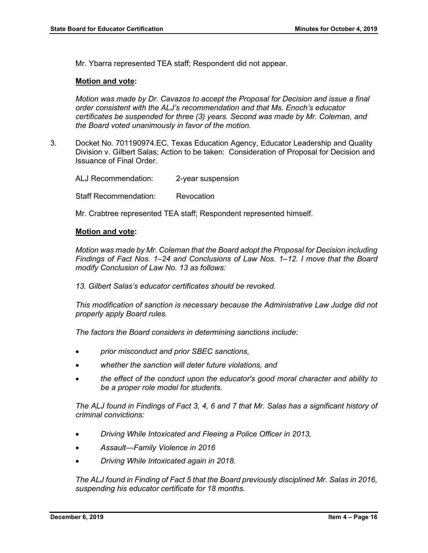Mr. Ybarra represented TEA staff; Respondent did not appear.

#### **Motion and vote:**

*Motion was made by Dr. Cavazos to accept the Proposal for Decision and issue a final order consistent with the ALJ's recommendation and that Ms. Enoch's educator certificates be suspended for three (3) years. Second was made by Mr. Coleman, and the Board voted unanimously in favor of the motion.* 

3. Docket No. 701190974.EC, Texas Education Agency, Educator Leadership and Quality Division v. Gilbert Salas; Action to be taken: Consideration of Proposal for Decision and Issuance of Final Order.

ALJ Recommendation: 2-year suspension Staff Recommendation: Revocation

Mr. Crabtree represented TEA staff; Respondent represented himself.

#### **Motion and vote:**

*Motion was made by Mr. Coleman that the Board adopt the Proposal for Decision including Findings of Fact Nos. 1–24 and Conclusions of Law Nos. 1–12. I move that the Board modify Conclusion of Law No. 13 as follows:*

*13. Gilbert Salas's educator certificates should be revoked.*

*This modification of sanction is necessary because the Administrative Law Judge did not properly apply Board rules.* 

*The factors the Board considers in determining sanctions include:*

- *prior misconduct and prior SBEC sanctions,*
- *whether the sanction will deter future violations, and*
- *the effect of the conduct upon the educator's good moral character and ability to be a proper role model for students.*

*The ALJ found in Findings of Fact 3, 4, 6 and 7 that Mr. Salas has a significant history of criminal convictions:*

- *Driving While Intoxicated and Fleeing a Police Officer in 2013,*
- *Assault—Family Violence in 2016*
- *Driving While Intoxicated again in 2018.*

*The ALJ found in Finding of Fact 5 that the Board previously disciplined Mr. Salas in 2016, suspending his educator certificate for 18 months.*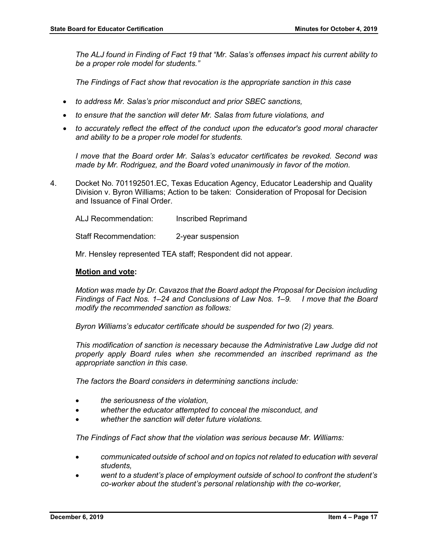*The ALJ found in Finding of Fact 19 that "Mr. Salas's offenses impact his current ability to be a proper role model for students."* 

*The Findings of Fact show that revocation is the appropriate sanction in this case* 

- *to address Mr. Salas's prior misconduct and prior SBEC sanctions,*
- *to ensure that the sanction will deter Mr. Salas from future violations, and*
- *to accurately reflect the effect of the conduct upon the educator's good moral character and ability to be a proper role model for students.*

*I move that the Board order Mr. Salas's educator certificates be revoked. Second was made by Mr. Rodriguez, and the Board voted unanimously in favor of the motion.*

4. Docket No. 701192501.EC, Texas Education Agency, Educator Leadership and Quality Division v. Byron Williams; Action to be taken: Consideration of Proposal for Decision and Issuance of Final Order.

ALJ Recommendation: Inscribed Reprimand

Staff Recommendation: 2-year suspension

Mr. Hensley represented TEA staff; Respondent did not appear.

#### **Motion and vote:**

*Motion was made by Dr. Cavazos that the Board adopt the Proposal for Decision including Findings of Fact Nos. 1–24 and Conclusions of Law Nos. 1–9. I move that the Board modify the recommended sanction as follows:*

*Byron Williams's educator certificate should be suspended for two (2) years.*

*This modification of sanction is necessary because the Administrative Law Judge did not properly apply Board rules when she recommended an inscribed reprimand as the appropriate sanction in this case.*

*The factors the Board considers in determining sanctions include:* 

- *the seriousness of the violation,*
- *whether the educator attempted to conceal the misconduct, and*
- *whether the sanction will deter future violations.*

*The Findings of Fact show that the violation was serious because Mr. Williams:*

- *communicated outside of school and on topics not related to education with several students,*
- *went to a student's place of employment outside of school to confront the student's co-worker about the student's personal relationship with the co-worker,*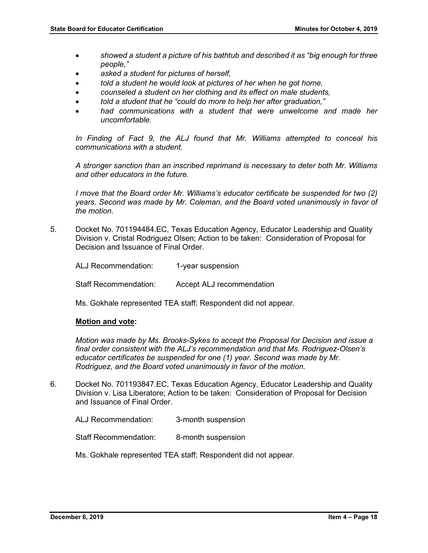- *showed a student a picture of his bathtub and described it as "big enough for three people,"*
- *asked a student for pictures of herself,*
- *told a student he would look at pictures of her when he got home,*
- *counseled a student on her clothing and its effect on male students,*
- *told a student that he "could do more to help her after graduation,"*
- *had communications with a student that were unwelcome and made her uncomfortable.*

*In Finding of Fact 9, the ALJ found that Mr. Williams attempted to conceal his communications with a student.*

*A stronger sanction than an inscribed reprimand is necessary to deter both Mr. Williams and other educators in the future.*

*I move that the Board order Mr. Williams's educator certificate be suspended for two (2) years. Second was made by Mr. Coleman, and the Board voted unanimously in favor of the motion.*

5. Docket No. 701194484.EC, Texas Education Agency, Educator Leadership and Quality Division v. Cristal Rodriguez Olsen; Action to be taken: Consideration of Proposal for Decision and Issuance of Final Order.

ALJ Recommendation: 1-year suspension

Staff Recommendation: Accept ALJ recommendation

Ms. Gokhale represented TEA staff; Respondent did not appear.

#### **Motion and vote:**

*Motion was made by Ms. Brooks-Sykes to accept the Proposal for Decision and issue a final order consistent with the ALJ's recommendation and that Ms. Rodriguez-Olsen's educator certificates be suspended for one (1) year. Second was made by Mr. Rodriguez, and the Board voted unanimously in favor of the motion.*

6. Docket No. 701193847.EC, Texas Education Agency, Educator Leadership and Quality Division v. Lisa Liberatore; Action to be taken: Consideration of Proposal for Decision and Issuance of Final Order.

ALJ Recommendation: 3-month suspension

Staff Recommendation: 8-month suspension

Ms. Gokhale represented TEA staff; Respondent did not appear.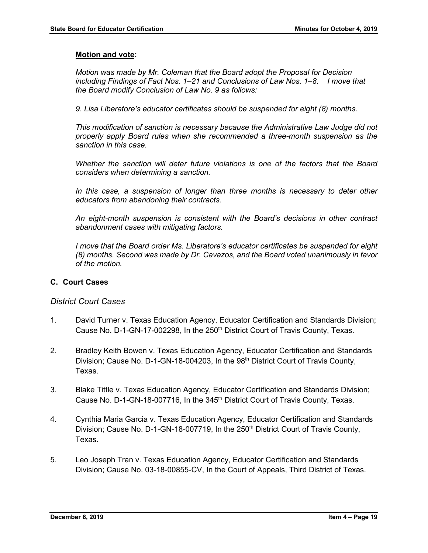#### **Motion and vote:**

*Motion was made by Mr. Coleman that the Board adopt the Proposal for Decision including Findings of Fact Nos. 1–21 and Conclusions of Law Nos. 1–8. I move that the Board modify Conclusion of Law No. 9 as follows:*

*9. Lisa Liberatore's educator certificates should be suspended for eight (8) months.*

*This modification of sanction is necessary because the Administrative Law Judge did not properly apply Board rules when she recommended a three-month suspension as the sanction in this case.*

*Whether the sanction will deter future violations is one of the factors that the Board considers when determining a sanction.*

In this case, a suspension of longer than three months is necessary to deter other *educators from abandoning their contracts.*

*An eight-month suspension is consistent with the Board's decisions in other contract abandonment cases with mitigating factors.*

*I move that the Board order Ms. Liberatore's educator certificates be suspended for eight (8) months. Second was made by Dr. Cavazos, and the Board voted unanimously in favor of the motion.*

#### **C. Court Cases**

# *District Court Cases*

- 1. David Turner v. Texas Education Agency, Educator Certification and Standards Division; Cause No. D-1-GN-17-002298, In the 250<sup>th</sup> District Court of Travis County, Texas.
- 2. Bradley Keith Bowen v. Texas Education Agency, Educator Certification and Standards Division; Cause No. D-1-GN-18-004203, In the 98<sup>th</sup> District Court of Travis County, Texas.
- 3. Blake Tittle v. Texas Education Agency, Educator Certification and Standards Division; Cause No. D-1-GN-18-007716, In the 345<sup>th</sup> District Court of Travis County, Texas.
- 4. Cynthia Maria Garcia v. Texas Education Agency, Educator Certification and Standards Division; Cause No. D-1-GN-18-007719, In the  $250<sup>th</sup>$  District Court of Travis County, Texas.
- 5. Leo Joseph Tran v. Texas Education Agency, Educator Certification and Standards Division; Cause No. 03-18-00855-CV, In the Court of Appeals, Third District of Texas.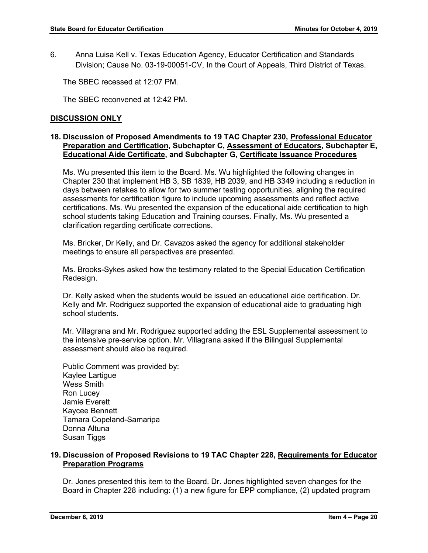6. Anna Luisa Kell v. Texas Education Agency, Educator Certification and Standards Division; Cause No. 03-19-00051-CV, In the Court of Appeals, Third District of Texas.

The SBEC recessed at 12:07 PM.

The SBEC reconvened at 12:42 PM.

### **DISCUSSION ONLY**

#### **18. Discussion of Proposed Amendments to 19 TAC Chapter 230, Professional Educator Preparation and Certification, Subchapter C, Assessment of Educators, Subchapter E, Educational Aide Certificate, and Subchapter G, Certificate Issuance Procedures**

Ms. Wu presented this item to the Board. Ms. Wu highlighted the following changes in Chapter 230 that implement HB 3, SB 1839, HB 2039, and HB 3349 including a reduction in days between retakes to allow for two summer testing opportunities, aligning the required assessments for certification figure to include upcoming assessments and reflect active certifications. Ms. Wu presented the expansion of the educational aide certification to high school students taking Education and Training courses. Finally, Ms. Wu presented a clarification regarding certificate corrections.

Ms. Bricker, Dr Kelly, and Dr. Cavazos asked the agency for additional stakeholder meetings to ensure all perspectives are presented.

Ms. Brooks-Sykes asked how the testimony related to the Special Education Certification Redesign.

Dr. Kelly asked when the students would be issued an educational aide certification. Dr. Kelly and Mr. Rodriguez supported the expansion of educational aide to graduating high school students.

Mr. Villagrana and Mr. Rodriguez supported adding the ESL Supplemental assessment to the intensive pre-service option. Mr. Villagrana asked if the Bilingual Supplemental assessment should also be required.

Public Comment was provided by: Kaylee Lartigue Wess Smith Ron Lucey Jamie Everett Kaycee Bennett Tamara Copeland-Samaripa Donna Altuna Susan Tiggs

#### **19. Discussion of Proposed Revisions to 19 TAC Chapter 228, Requirements for Educator Preparation Programs**

Dr. Jones presented this item to the Board. Dr. Jones highlighted seven changes for the Board in Chapter 228 including: (1) a new figure for EPP compliance, (2) updated program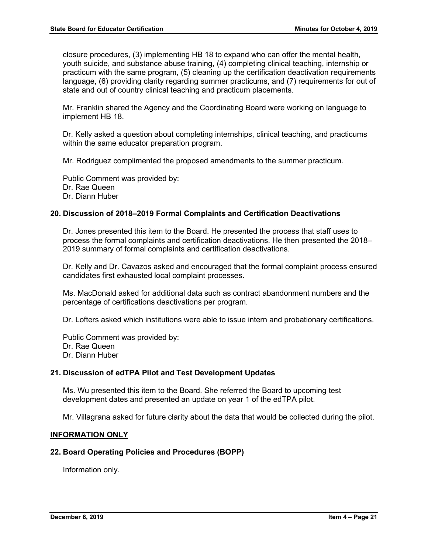closure procedures, (3) implementing HB 18 to expand who can offer the mental health, youth suicide, and substance abuse training, (4) completing clinical teaching, internship or practicum with the same program, (5) cleaning up the certification deactivation requirements language, (6) providing clarity regarding summer practicums, and (7) requirements for out of state and out of country clinical teaching and practicum placements.

Mr. Franklin shared the Agency and the Coordinating Board were working on language to implement HB 18.

Dr. Kelly asked a question about completing internships, clinical teaching, and practicums within the same educator preparation program.

Mr. Rodriguez complimented the proposed amendments to the summer practicum.

Public Comment was provided by: Dr. Rae Queen Dr. Diann Huber

#### **20. Discussion of 2018–2019 Formal Complaints and Certification Deactivations**

Dr. Jones presented this item to the Board. He presented the process that staff uses to process the formal complaints and certification deactivations. He then presented the 2018– 2019 summary of formal complaints and certification deactivations.

Dr. Kelly and Dr. Cavazos asked and encouraged that the formal complaint process ensured candidates first exhausted local complaint processes.

Ms. MacDonald asked for additional data such as contract abandonment numbers and the percentage of certifications deactivations per program.

Dr. Lofters asked which institutions were able to issue intern and probationary certifications.

Public Comment was provided by: Dr. Rae Queen Dr. Diann Huber

# **21. Discussion of edTPA Pilot and Test Development Updates**

Ms. Wu presented this item to the Board. She referred the Board to upcoming test development dates and presented an update on year 1 of the edTPA pilot.

Mr. Villagrana asked for future clarity about the data that would be collected during the pilot.

#### **INFORMATION ONLY**

#### **22. Board Operating Policies and Procedures (BOPP)**

Information only.